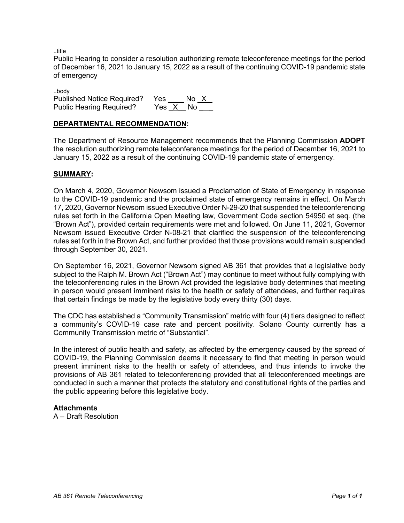..title

Public Hearing to consider a resolution authorizing remote teleconference meetings for the period of December 16, 2021 to January 15, 2022 as a result of the continuing COVID-19 pandemic state of emergency

..body Published Notice Required? Yes \_\_\_\_ No \_X\_<br>Public Hearing Required? Yes X No Public Hearing Required?

# **DEPARTMENTAL RECOMMENDATION:**

The Department of Resource Management recommends that the Planning Commission **ADOPT**  the resolution authorizing remote teleconference meetings for the period of December 16, 2021 to January 15, 2022 as a result of the continuing COVID-19 pandemic state of emergency.

# **SUMMARY:**

On March 4, 2020, Governor Newsom issued a Proclamation of State of Emergency in response to the COVID-19 pandemic and the proclaimed state of emergency remains in effect. On March 17, 2020, Governor Newsom issued Executive Order N-29-20 that suspended the teleconferencing rules set forth in the California Open Meeting law, Government Code section 54950 et seq. (the "Brown Act"), provided certain requirements were met and followed. On June 11, 2021, Governor Newsom issued Executive Order N-08-21 that clarified the suspension of the teleconferencing rules set forth in the Brown Act, and further provided that those provisions would remain suspended through September 30, 2021.

On September 16, 2021, Governor Newsom signed AB 361 that provides that a legislative body subject to the Ralph M. Brown Act ("Brown Act") may continue to meet without fully complying with the teleconferencing rules in the Brown Act provided the legislative body determines that meeting in person would present imminent risks to the health or safety of attendees, and further requires that certain findings be made by the legislative body every thirty (30) days.

The CDC has established a "Community Transmission" metric with four (4) tiers designed to reflect a community's COVID-19 case rate and percent positivity. Solano County currently has a Community Transmission metric of "Substantial".

In the interest of public health and safety, as affected by the emergency caused by the spread of COVID-19, the Planning Commission deems it necessary to find that meeting in person would present imminent risks to the health or safety of attendees, and thus intends to invoke the provisions of AB 361 related to teleconferencing provided that all teleconferenced meetings are conducted in such a manner that protects the statutory and constitutional rights of the parties and the public appearing before this legislative body.

# **Attachments**

A – Draft Resolution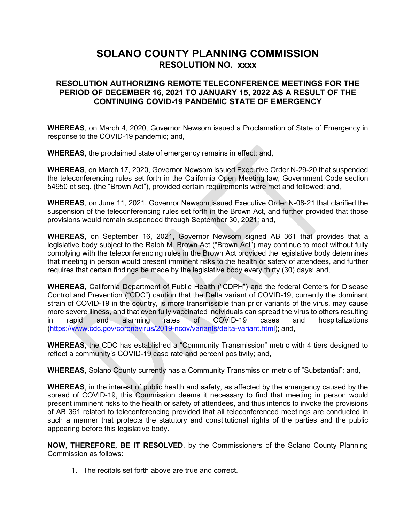# **SOLANO COUNTY PLANNING COMMISSION RESOLUTION NO. xxxx**

# **RESOLUTION AUTHORIZING REMOTE TELECONFERENCE MEETINGS FOR THE PERIOD OF DECEMBER 16, 2021 TO JANUARY 15, 2022 AS A RESULT OF THE CONTINUING COVID-19 PANDEMIC STATE OF EMERGENCY**

**WHEREAS**, on March 4, 2020, Governor Newsom issued a Proclamation of State of Emergency in response to the COVID-19 pandemic; and,

**WHEREAS**, the proclaimed state of emergency remains in effect; and,

**WHEREAS**, on March 17, 2020, Governor Newsom issued Executive Order N-29-20 that suspended the teleconferencing rules set forth in the California Open Meeting law, Government Code section 54950 et seq. (the "Brown Act"), provided certain requirements were met and followed; and,

**WHEREAS**, on June 11, 2021, Governor Newsom issued Executive Order N-08-21 that clarified the suspension of the teleconferencing rules set forth in the Brown Act, and further provided that those provisions would remain suspended through September 30, 2021; and,

**WHEREAS**, on September 16, 2021, Governor Newsom signed AB 361 that provides that a legislative body subject to the Ralph M. Brown Act ("Brown Act") may continue to meet without fully complying with the teleconferencing rules in the Brown Act provided the legislative body determines that meeting in person would present imminent risks to the health or safety of attendees, and further requires that certain findings be made by the legislative body every thirty (30) days; and,

**WHEREAS**, California Department of Public Health ("CDPH") and the federal Centers for Disease Control and Prevention ("CDC") caution that the Delta variant of COVID-19, currently the dominant strain of COVID-19 in the country, is more transmissible than prior variants of the virus, may cause more severe illness, and that even fully vaccinated individuals can spread the virus to others resulting in rapid and alarming rates of COVID-19 cases and hospitalizations [\(https://www.cdc.gov/coronavirus/2019-ncov/variants/delta-variant.html\)](https://www.cdc.gov/coronavirus/2019-ncov/variants/delta-variant.html); and,

**WHEREAS**, the CDC has established a "Community Transmission" metric with 4 tiers designed to reflect a community's COVID-19 case rate and percent positivity; and,

**WHEREAS**, Solano County currently has a Community Transmission metric of "Substantial"; and,

**WHEREAS**, in the interest of public health and safety, as affected by the emergency caused by the spread of COVID-19, this Commission deems it necessary to find that meeting in person would present imminent risks to the health or safety of attendees, and thus intends to invoke the provisions of AB 361 related to teleconferencing provided that all teleconferenced meetings are conducted in such a manner that protects the statutory and constitutional rights of the parties and the public appearing before this legislative body.

**NOW, THEREFORE, BE IT RESOLVED**, by the Commissioners of the Solano County Planning Commission as follows:

1. The recitals set forth above are true and correct.